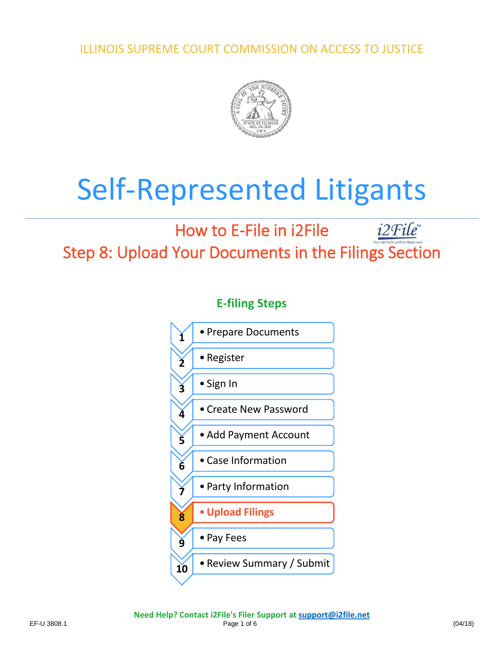ILLINOIS SUPREME COURT COMMISSION ON ACCESS TO JUSTICE



# Self-Represented Litigants

# How to E-File in i2File  $i2$ File Step 8: Upload Your Documents in the Filings Section

**E-filing Steps**

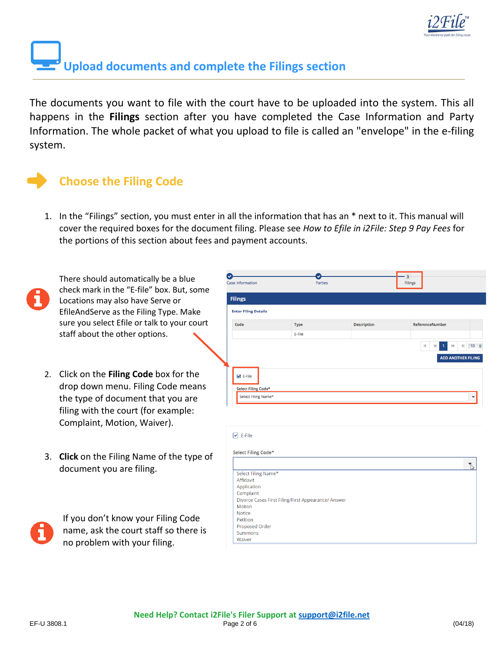

# **Upload documents and complete the Filings section**

The documents you want to file with the court have to be uploaded into the system. This all happens in the **Filings** section after you have completed the Case Information and Party Information. The whole packet of what you upload to file is called an "envelope" in the e-filing system.

# **Choose the Filing Code**

1. In the "Filings" section, you must enter in all the information that has an \* next to it. This manual will cover the required boxes for the document filing. Please see *How to Efile in i2File: Step 9 Pay Fees* for the portions of this section about fees and payment accounts.



There should automatically be a blue check mark in the "E-file" box. But, some Locations may also have Serve or EfileAndServe as the Filing Type. Make sure you select Efile or talk to your court staff about the other options.

- 2. Click on the **Filing Code** box for the drop down menu. Filing Code means the type of document that you are filing with the court (for example: Complaint, Motion, Waiver).
- 3. **Click** on the Filing Name of the type of document you are filing.



If you don't know your Filing Code name, ask the court staff so there is no problem with your filing.

| Case Information                               | Parties                                             |                    | Filings                                                                                 |
|------------------------------------------------|-----------------------------------------------------|--------------------|-----------------------------------------------------------------------------------------|
| <b>Filings</b>                                 |                                                     |                    |                                                                                         |
| <b>Enter Filing Details</b>                    |                                                     |                    |                                                                                         |
| Code                                           | Type                                                | <b>Description</b> | ReferenceNumber                                                                         |
|                                                | E-File                                              |                    |                                                                                         |
|                                                |                                                     |                    | $H = 10$                                                                                |
|                                                |                                                     |                    | $ \mathbf{q} $<br>$\left\vert i\right\rangle$<br>$\left\langle \cdot\right\rangle$<br>1 |
|                                                |                                                     |                    | <b>ADD ANOTHER FILING</b>                                                               |
|                                                |                                                     |                    |                                                                                         |
| $\blacktriangleright$ E-File                   |                                                     |                    |                                                                                         |
|                                                |                                                     |                    |                                                                                         |
| Select Filing Code*                            |                                                     |                    |                                                                                         |
| Select Filing Name*                            |                                                     |                    |                                                                                         |
|                                                |                                                     |                    |                                                                                         |
|                                                |                                                     |                    |                                                                                         |
| $\triangleright$ E-File<br>Select Filing Code* |                                                     |                    |                                                                                         |
| Select Filing Name*                            |                                                     |                    | $\sum_{i=1}^{n}$                                                                        |
| Affidavit                                      |                                                     |                    |                                                                                         |
| Application                                    |                                                     |                    |                                                                                         |
| Complaint                                      |                                                     |                    |                                                                                         |
|                                                | Divorce Cases First Filing/First Appearance/ Answer |                    |                                                                                         |
| Motion                                         |                                                     |                    |                                                                                         |
| <b>Notice</b>                                  |                                                     |                    |                                                                                         |
| Petition                                       |                                                     |                    |                                                                                         |
| Proposed Order<br><b>Summons</b>               |                                                     |                    |                                                                                         |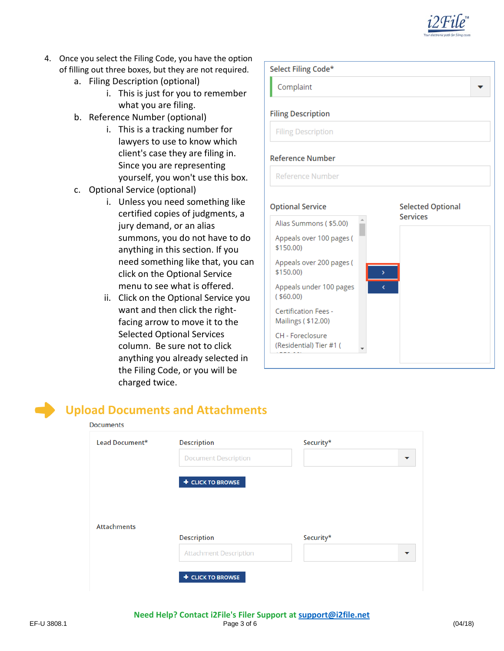

- 4. Once you select the Filing Code, you have the option of filling out three boxes, but they are not required.
	- a. Filing Description (optional)
		- i. This is just for you to remember what you are filing.
	- b. Reference Number (optional)
		- i. This is a tracking number for lawyers to use to know which client's case they are filing in. Since you are representing yourself, you won't use this box.
	- c. Optional Service (optional)
		- i. Unless you need something like certified copies of judgments, a jury demand, or an alias summons, you do not have to do anything in this section. If you need something like that, you can click on the Optional Service menu to see what is offered.
		- ii. Click on the Optional Service you want and then click the rightfacing arrow to move it to the Selected Optional Services column. Be sure not to click anything you already selected in the Filing Code, or you will be charged twice.



## **Upload Documents and Attachments**

**Documents** 

| Lead Document*     | <b>Description</b>          | Security* |  |
|--------------------|-----------------------------|-----------|--|
|                    | <b>Document Description</b> |           |  |
|                    | + CLICK TO BROWSE           |           |  |
|                    |                             |           |  |
|                    |                             |           |  |
|                    |                             |           |  |
| <b>Attachments</b> | <b>Description</b>          | Security* |  |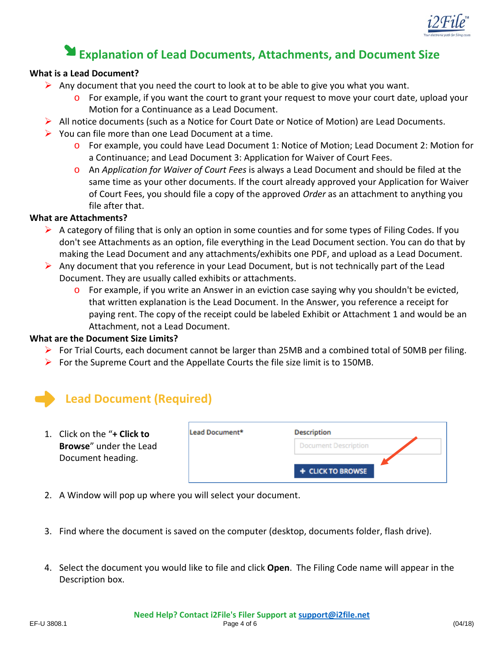

# **Explanation of Lead Documents, Attachments, and Document Size**

#### **What is a Lead Document?**

- $\triangleright$  Any document that you need the court to look at to be able to give you what you want.
	- $\circ$  For example, if you want the court to grant your request to move your court date, upload your Motion for a Continuance as a Lead Document.
- $\triangleright$  All notice documents (such as a Notice for Court Date or Notice of Motion) are Lead Documents.
- $\triangleright$  You can file more than one Lead Document at a time.
	- o For example, you could have Lead Document 1: Notice of Motion; Lead Document 2: Motion for a Continuance; and Lead Document 3: Application for Waiver of Court Fees.
	- o An *Application for Waiver of Court Fees* is always a Lead Document and should be filed at the same time as your other documents. If the court already approved your Application for Waiver of Court Fees, you should file a copy of the approved *Order* as an attachment to anything you file after that.

### **What are Attachments?**

- $\triangleright$  A category of filing that is only an option in some counties and for some types of Filing Codes. If you don't see Attachments as an option, file everything in the Lead Document section. You can do that by making the Lead Document and any attachments/exhibits one PDF, and upload as a Lead Document.
- Any document that you reference in your Lead Document, but is not technically part of the Lead Document. They are usually called exhibits or attachments.
	- o For example, if you write an Answer in an eviction case saying why you shouldn't be evicted, that written explanation is the Lead Document. In the Answer, you reference a receipt for paying rent. The copy of the receipt could be labeled Exhibit or Attachment 1 and would be an Attachment, not a Lead Document.

## **What are the Document Size Limits?**

- For Trial Courts, each document cannot be larger than 25MB and a combined total of 50MB per filing.
- For the Supreme Court and the Appellate Courts the file size limit is to 150MB.

# **Lead Document (Required)**

1. Click on the "**+ Click to Browse**" under the Lead Document heading.

| Description                 |  |
|-----------------------------|--|
| <b>Document Description</b> |  |
| + CLICK TO BROWSE           |  |
|                             |  |

- 2. A Window will pop up where you will select your document.
- 3. Find where the document is saved on the computer (desktop, documents folder, flash drive).
- 4. Select the document you would like to file and click **Open**. The Filing Code name will appear in the Description box.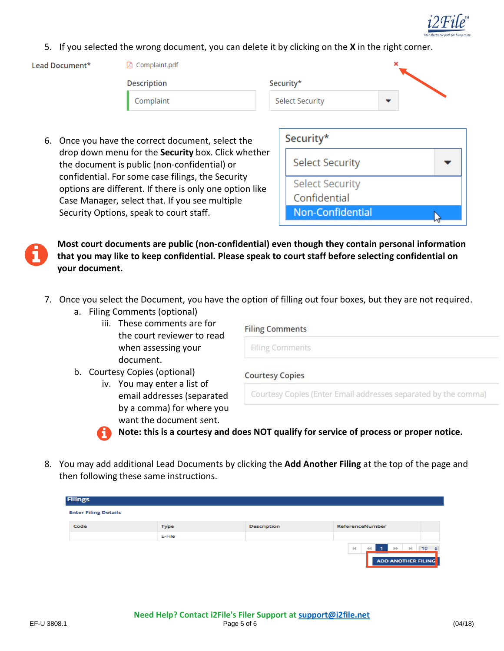

5. If you selected the wrong document, you can delete it by clicking on the **X** in the right corner.

Lead Document\*

**A** Complaint.pdf **Description** 

| Complaint |
|-----------|
|-----------|

| Security*              |  |
|------------------------|--|
| <b>Select Security</b> |  |
|                        |  |

6. Once you have the correct document, select the drop down menu for the **Security** box. Click whether the document is public (non-confidential) or confidential. For some case filings, the Security options are different. If there is only one option like Case Manager, select that. If you see multiple Security Options, speak to court staff.

| Security*              |  |
|------------------------|--|
| <b>Select Security</b> |  |
| <b>Select Security</b> |  |
| Confidential           |  |
| Non-Confidential       |  |

**Most court documents are public (non-confidential) even though they contain personal information that you may like to keep confidential. Please speak to court staff before selecting confidential on your document.**

- 7. Once you select the Document, you have the option of filling out four boxes, but they are not required.
	- a. Filing Comments (optional)
		- iii. These comments are for the court reviewer to read when assessing your document.

| <b>Filing Comments</b> |
|------------------------|
|                        |

**Filing Comments** 

b. Courtesy Copies (optional)

iv. You may enter a list of email addresses (separated by a comma) for where you want the document sent.

**Courtesy Copies** 

Courtesy Copies (Enter Email addresses separated by the comma)



**Note: this is a courtesy and does NOT qualify for service of process or proper notice.**

8. You may add additional Lead Documents by clicking the **Add Another Filing** at the top of the page and then following these same instructions.

| <b>Filings</b>              |        |             |                                                                                                |           |
|-----------------------------|--------|-------------|------------------------------------------------------------------------------------------------|-----------|
| <b>Enter Filing Details</b> |        |             |                                                                                                |           |
| Code                        | Type   | Description | ReferenceNumber                                                                                |           |
|                             | E-File |             |                                                                                                |           |
|                             |        |             | $ \mathbf{q} $<br>$\left\Vert \mathbf{r}\right\Vert$<br><b>bb</b><br><b>ADD ANOTHER FILING</b> | $10 \div$ |